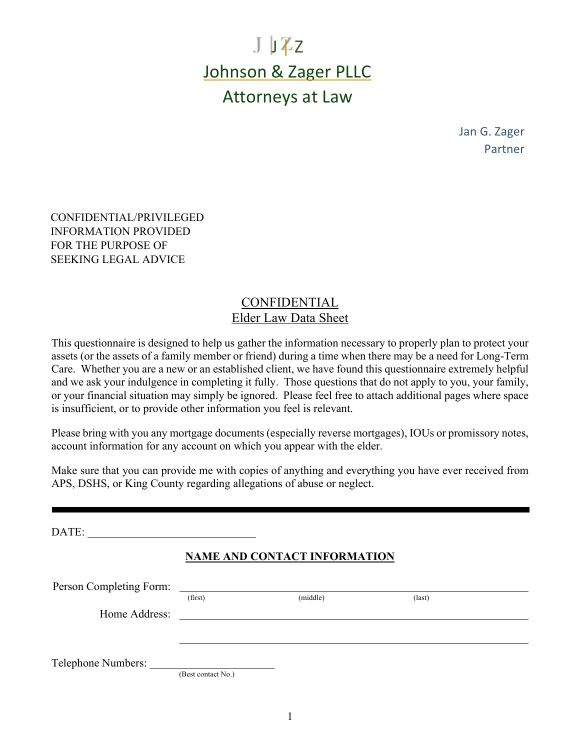# $J \cup Z$ z Johnson & Zager PLLC Attorneys at Law

Jan G. Zager Partner

CONFIDENTIAL/PRIVILEGED INFORMATION PROVIDED FOR THE PURPOSE OF SEEKING LEGAL ADVICE

# CONFIDENTIAL Elder Law Data Sheet

This questionnaire is designed to help us gather the information necessary to properly plan to protect your assets (or the assets of a family member or friend) during a time when there may be a need for Long-Term Care. Whether you are a new or an established client, we have found this questionnaire extremely helpful and we ask your indulgence in completing it fully. Those questions that do not apply to you, your family, or your financial situation may simply be ignored. Please feel free to attach additional pages where space is insufficient, or to provide other information you feel is relevant.

Please bring with you any mortgage documents (especially reverse mortgages), IOUs or promissory notes, account information for any account on which you appear with the elder.

Make sure that you can provide me with copies of anything and everything you have ever received from APS, DSHS, or King County regarding allegations of abuse or neglect.

DATE: **NAME AND CONTACT INFORMATION**

| Person Completing Form: |                    |          |                 |  |
|-------------------------|--------------------|----------|-----------------|--|
|                         | (first)            | (middle) | $\text{(last)}$ |  |
| Home Address:           |                    |          |                 |  |
|                         |                    |          |                 |  |
|                         |                    |          |                 |  |
| Telephone Numbers:      |                    |          |                 |  |
|                         | (Best contact No.) |          |                 |  |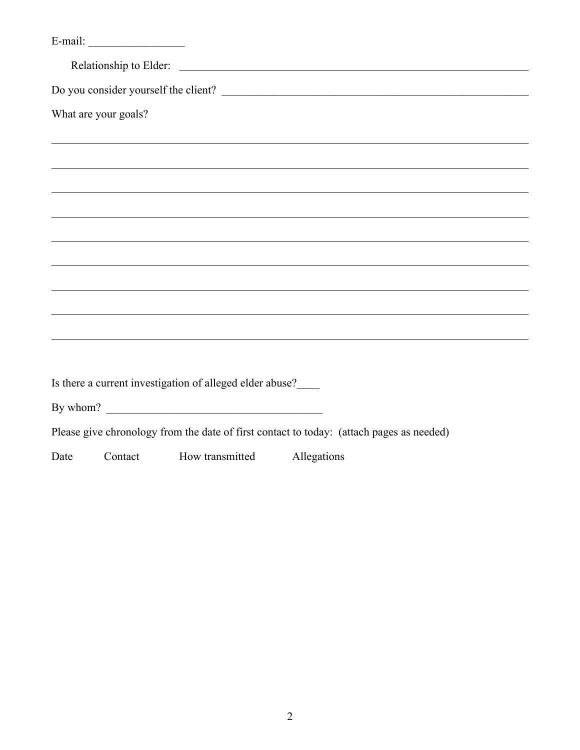|      |                      |                                                          | Do you consider yourself the client?                                                     |
|------|----------------------|----------------------------------------------------------|------------------------------------------------------------------------------------------|
|      | What are your goals? |                                                          |                                                                                          |
|      |                      |                                                          |                                                                                          |
|      |                      |                                                          |                                                                                          |
|      |                      |                                                          |                                                                                          |
|      |                      |                                                          |                                                                                          |
|      |                      |                                                          |                                                                                          |
|      |                      |                                                          |                                                                                          |
|      |                      |                                                          |                                                                                          |
|      |                      |                                                          |                                                                                          |
|      |                      |                                                          |                                                                                          |
|      |                      | Is there a current investigation of alleged elder abuse? |                                                                                          |
|      |                      | By whom? $\qquad \qquad$                                 |                                                                                          |
|      |                      |                                                          | Please give chronology from the date of first contact to today: (attach pages as needed) |
| Date | Contact              | How transmitted                                          | Allegations                                                                              |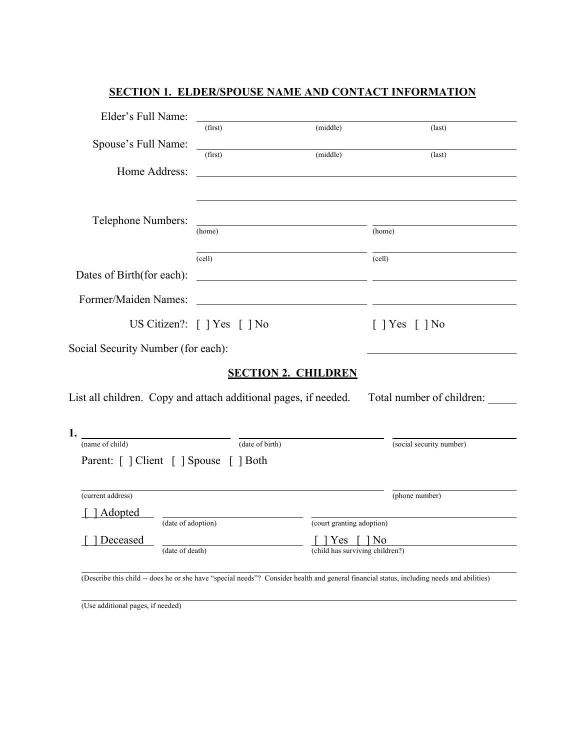| Elder's Full Name:                                              |                             |                                                                                            |                              |
|-----------------------------------------------------------------|-----------------------------|--------------------------------------------------------------------------------------------|------------------------------|
|                                                                 | (first)                     | (middle)                                                                                   | $\text{(last)}$              |
| Spouse's Full Name:                                             | (first)                     | (middle)                                                                                   | $\text{(last)}$              |
| Home Address:                                                   |                             |                                                                                            |                              |
|                                                                 |                             |                                                                                            |                              |
|                                                                 |                             |                                                                                            |                              |
| Telephone Numbers:                                              |                             | <u> 1989 - Johann Barbara, martxa alemaniar arg</u>                                        |                              |
|                                                                 | (home)                      |                                                                                            | (home)                       |
|                                                                 | (cell)                      |                                                                                            | (cell)                       |
| Dates of Birth(for each):                                       |                             | <u> 2008 - Andrea Andrew Maria (b. 1989)</u>                                               |                              |
|                                                                 |                             |                                                                                            |                              |
| Former/Maiden Names:                                            |                             | <u> 1989 - Johann Stoff, Amerikaansk politiker (* 1908)</u>                                |                              |
|                                                                 | US Citizen?: [ ] Yes [ ] No |                                                                                            | $\lceil$   Yes $\lceil$   No |
| Social Security Number (for each):                              |                             |                                                                                            |                              |
|                                                                 |                             | <b>SECTION 2. CHILDREN</b>                                                                 |                              |
| List all children. Copy and attach additional pages, if needed. |                             |                                                                                            | Total number of children:    |
|                                                                 |                             |                                                                                            |                              |
| 1.                                                              |                             |                                                                                            |                              |
| (name of child)                                                 |                             | (date of birth)                                                                            | (social security number)     |
| Parent: [ ] Client [ ] Spouse [ ] Both                          |                             |                                                                                            |                              |
|                                                                 |                             |                                                                                            |                              |
| (current address)                                               |                             |                                                                                            | (phone number)               |
| Adopted<br>(date of adoption)                                   |                             | (court granting adoption)                                                                  |                              |
| Deceased                                                        |                             | $\left\vert \right.$ Yes $\left\vert \right.$ $\left. \right\vert$ $\left. \right\vert$ No |                              |
| (date of death)                                                 |                             | (child has surviving children?)                                                            |                              |

# **SECTION 1. ELDER/SPOUSE NAME AND CONTACT INFORMATION**

(Describe this child -- does he or she have "special needs"? Consider health and general financial status, including needs and abilities)

(Use additional pages, if needed)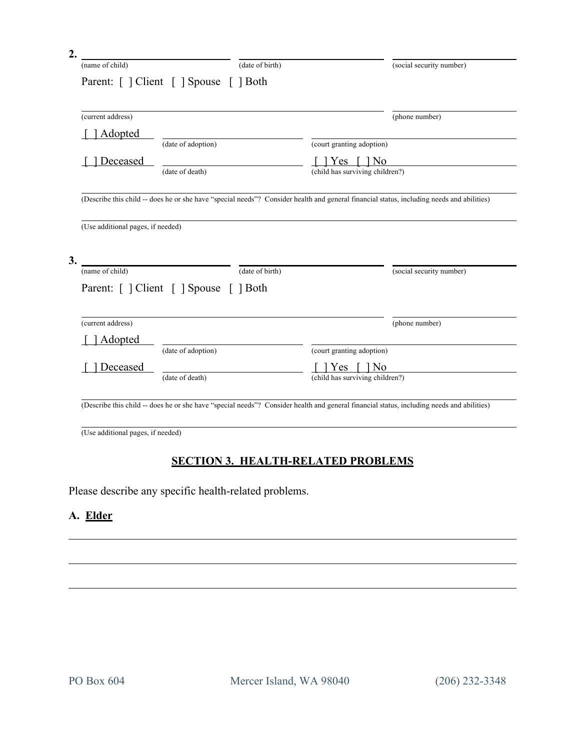| (name of child)                                             |                                        | (date of birth) |                                             |  | (social security number)                                                                                                                  |  |
|-------------------------------------------------------------|----------------------------------------|-----------------|---------------------------------------------|--|-------------------------------------------------------------------------------------------------------------------------------------------|--|
| Parent: [ ] Client [ ] Spouse [ ] Both<br>(current address) |                                        |                 |                                             |  |                                                                                                                                           |  |
|                                                             |                                        |                 |                                             |  | (phone number)                                                                                                                            |  |
| <u>Adopted</u>                                              | (date of adoption)                     |                 | (court granting adoption)                   |  |                                                                                                                                           |  |
| Deceased                                                    | (date of death)                        |                 | Yes   No<br>(child has surviving children?) |  |                                                                                                                                           |  |
|                                                             |                                        |                 |                                             |  |                                                                                                                                           |  |
|                                                             |                                        |                 |                                             |  | (Describe this child -- does he or she have "special needs"? Consider health and general financial status, including needs and abilities) |  |
|                                                             |                                        |                 |                                             |  |                                                                                                                                           |  |
|                                                             |                                        |                 |                                             |  |                                                                                                                                           |  |
| (Use additional pages, if needed)                           |                                        |                 |                                             |  |                                                                                                                                           |  |
|                                                             |                                        |                 |                                             |  |                                                                                                                                           |  |
|                                                             |                                        |                 |                                             |  |                                                                                                                                           |  |
| (name of child)                                             |                                        | (date of birth) |                                             |  | (social security number)                                                                                                                  |  |
|                                                             |                                        |                 |                                             |  |                                                                                                                                           |  |
|                                                             | Parent: [ ] Client [ ] Spouse [ ] Both |                 |                                             |  |                                                                                                                                           |  |
|                                                             |                                        |                 |                                             |  |                                                                                                                                           |  |
|                                                             |                                        |                 |                                             |  | (phone number)                                                                                                                            |  |
| <b>Adopted</b>                                              |                                        |                 |                                             |  |                                                                                                                                           |  |
|                                                             | (date of adoption)                     |                 | (court granting adoption)                   |  |                                                                                                                                           |  |
| (current address)<br>Deceased                               |                                        |                 | $1 Yes \quad 1 No$                          |  |                                                                                                                                           |  |
|                                                             | (date of death)                        |                 | (child has surviving children?)             |  |                                                                                                                                           |  |
|                                                             |                                        |                 |                                             |  | (Describe this child -- does he or she have "special needs"? Consider health and general financial status, including needs and abilities) |  |

# **SECTION 3. HEALTH-RELATED PROBLEMS**

Please describe any specific health-related problems.

# **A. Elder**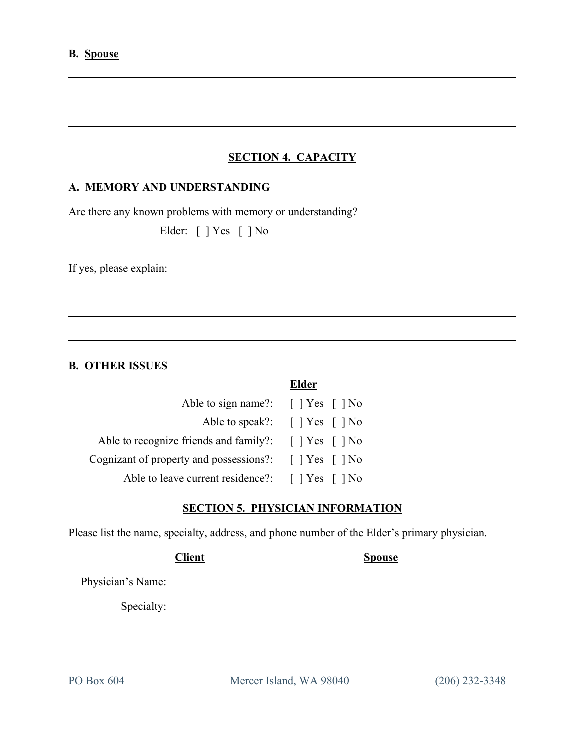# **SECTION 4. CAPACITY**

#### **A. MEMORY AND UNDERSTANDING**

Are there any known problems with memory or understanding?

Elder: [ ] Yes [ ] No

If yes, please explain:

#### **B. OTHER ISSUES**

| Able to sign name?: $\begin{bmatrix} \n\end{bmatrix} Yes \begin{bmatrix} \n\end{bmatrix} No$                     |                                                                    |
|------------------------------------------------------------------------------------------------------------------|--------------------------------------------------------------------|
|                                                                                                                  | Able to speak?: $\lceil \cdot \rceil$ Yes $\lceil \cdot \rceil$ No |
| Able to recognize friends and family?: $\begin{bmatrix} \end{bmatrix} Yes \begin{bmatrix} \end{bmatrix} No$      |                                                                    |
| Cognizant of property and possessions?: $\begin{bmatrix} \n\end{bmatrix} Yes \begin{bmatrix} \n\end{bmatrix} No$ |                                                                    |
| Able to leave current residence?: [] Yes [] No                                                                   |                                                                    |

#### **SECTION 5. PHYSICIAN INFORMATION**

**Elder**

Please list the name, specialty, address, and phone number of the Elder's primary physician.

|                   | <b>Client</b> | <b>Spouse</b> |
|-------------------|---------------|---------------|
| Physician's Name: |               |               |
| Specialty:        |               |               |
|                   |               |               |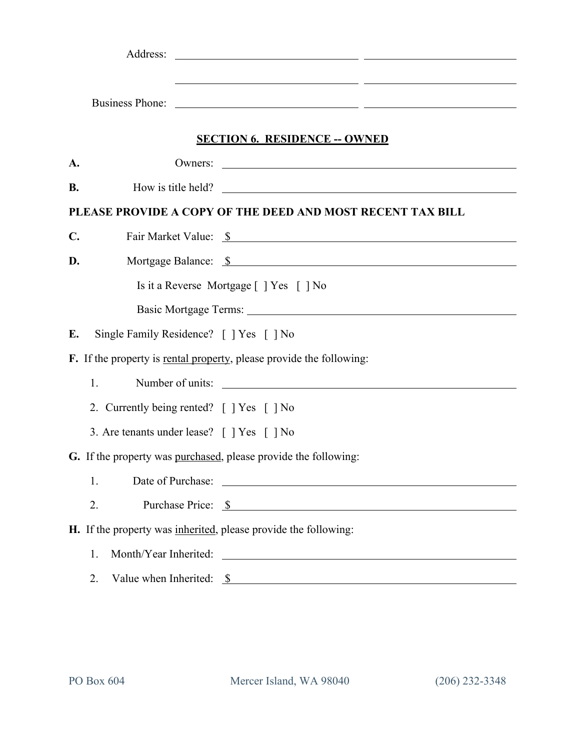|                |                                                                 | <u> 1989 - Andrea San Andrea San Aonaichte ann an t-Aonaichte ann an t-Aonaichte ann an t-Aonaichte ann an t-Aon</u> |
|----------------|-----------------------------------------------------------------|----------------------------------------------------------------------------------------------------------------------|
|                | Business Phone:                                                 | <u> Andreas Andreas Andreas Andreas Andreas Andreas Andreas Andreas Andreas Andreas Andreas Andreas Andreas Andr</u> |
|                |                                                                 |                                                                                                                      |
|                |                                                                 | <b>SECTION 6. RESIDENCE -- OWNED</b>                                                                                 |
| A.             |                                                                 |                                                                                                                      |
| <b>B.</b>      |                                                                 | How is title held?                                                                                                   |
|                |                                                                 | PLEASE PROVIDE A COPY OF THE DEED AND MOST RECENT TAX BILL                                                           |
| $\mathbf{C}$ . |                                                                 | Fair Market Value: \$                                                                                                |
| D.             |                                                                 | Mortgage Balance: \$                                                                                                 |
|                |                                                                 | Is it a Reverse Mortgage [ ] Yes [ ] No                                                                              |
|                |                                                                 |                                                                                                                      |
| Е.             | Single Family Residence? [ ] Yes [ ] No                         |                                                                                                                      |
|                |                                                                 | F. If the property is <u>rental property</u> , please provide the following:                                         |
|                | 1.                                                              | Number of units:                                                                                                     |
|                | 2. Currently being rented? [ ] Yes [ ] No                       |                                                                                                                      |
|                | 3. Are tenants under lease? [ ] Yes [ ] No                      |                                                                                                                      |
|                | G. If the property was purchased, please provide the following: |                                                                                                                      |
|                | 1.                                                              |                                                                                                                      |
|                | 2.                                                              | Purchase Price: <u>\$</u>                                                                                            |
|                | H. If the property was inherited, please provide the following: |                                                                                                                      |
|                | 1.                                                              |                                                                                                                      |
|                | 2.                                                              | Value when Inherited: $\frac{\$}{\$}$                                                                                |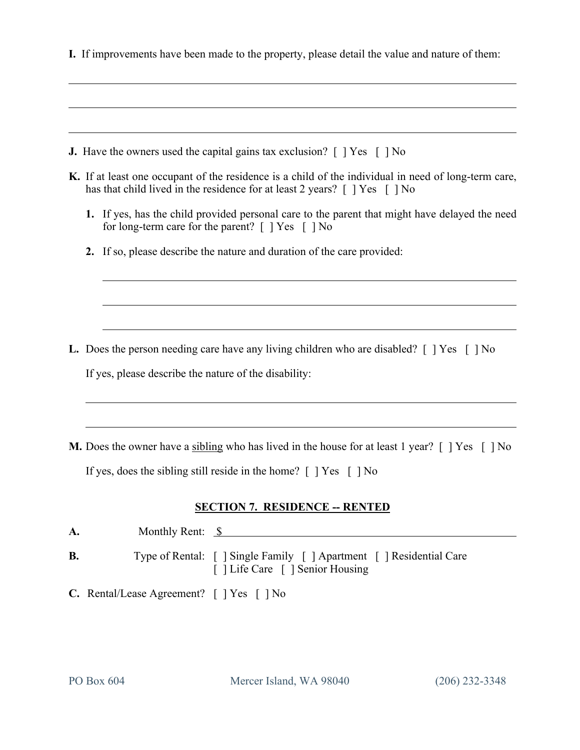**I.** If improvements have been made to the property, please detail the value and nature of them:

- **J.** Have the owners used the capital gains tax exclusion?  $\lceil \cdot \rceil$  Yes  $\lceil \cdot \rceil$  No
- **K.** If at least one occupant of the residence is a child of the individual in need of long-term care, has that child lived in the residence for at least 2 years? [ ] Yes [ ] No
	- **1.** If yes, has the child provided personal care to the parent that might have delayed the need for long-term care for the parent?  $\lceil \ \rceil$  Yes  $\lceil \ \rceil$  No

**2.** If so, please describe the nature and duration of the care provided:

- **L.** Does the person needing care have any living children who are disabled? [ ] Yes [ ] No If yes, please describe the nature of the disability:
- **M.** Does the owner have a sibling who has lived in the house for at least 1 year? [ ] Yes [ ] No If yes, does the sibling still reside in the home?  $\lceil \cdot \rceil$  Yes  $\lceil \cdot \rceil$  No

#### **SECTION 7. RESIDENCE -- RENTED**

| A. |  | Monthly Rent: $\S$ |                                                                                                          |
|----|--|--------------------|----------------------------------------------------------------------------------------------------------|
| В. |  |                    | Type of Rental: [ ] Single Family [ ] Apartment [ ] Residential Care<br>[ ] Life Care [ ] Senior Housing |
|    |  |                    | $\Omega$ $\Gamma$ $\tau$                                                                                 |

**C.** Rental/Lease Agreement? [ ] Yes [ ] No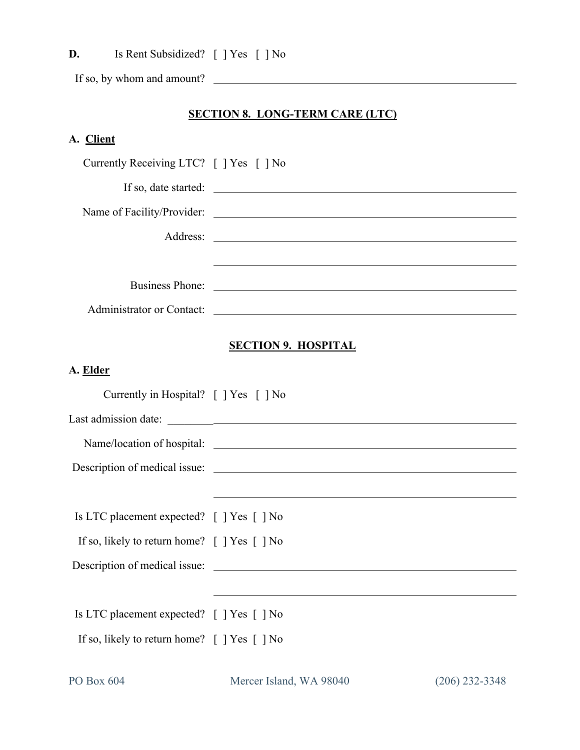**D.** Is Rent Subsidized? [ ] Yes [ ] No

If so, by whom and amount?

## **SECTION 8. LONG-TERM CARE (LTC)**

# **A. Client**

| Currently Receiving LTC? [ ] Yes [ ] No                                          |                                                                                                                        |
|----------------------------------------------------------------------------------|------------------------------------------------------------------------------------------------------------------------|
|                                                                                  |                                                                                                                        |
|                                                                                  |                                                                                                                        |
|                                                                                  |                                                                                                                        |
|                                                                                  | and the control of the control of the control of the control of the control of the control of the control of the       |
|                                                                                  |                                                                                                                        |
|                                                                                  | Administrator or Contact:                                                                                              |
|                                                                                  |                                                                                                                        |
|                                                                                  | <b>SECTION 9. HOSPITAL</b>                                                                                             |
| A. Elder                                                                         |                                                                                                                        |
| Currently in Hospital? [ ] Yes [ ] No                                            |                                                                                                                        |
|                                                                                  |                                                                                                                        |
|                                                                                  |                                                                                                                        |
|                                                                                  |                                                                                                                        |
|                                                                                  | <u> 1989 - Johann Stoff, deutscher Stoffen und der Stoffen und der Stoffen und der Stoffen und der Stoffen und der</u> |
| Is LTC placement expected? [ ] Yes [ ] No                                        |                                                                                                                        |
| If so, likely to return home? [ ] Yes [ ] No                                     |                                                                                                                        |
|                                                                                  | Description of medical issue:                                                                                          |
|                                                                                  |                                                                                                                        |
| Is LTC placement expected? [ ] Yes [ ] No                                        |                                                                                                                        |
| If so, likely to return home? $\lceil \cdot \rceil$ Yes $\lceil \cdot \rceil$ No |                                                                                                                        |
|                                                                                  |                                                                                                                        |

PO Box 604 Mercer Island, WA 98040 (206) 232-3348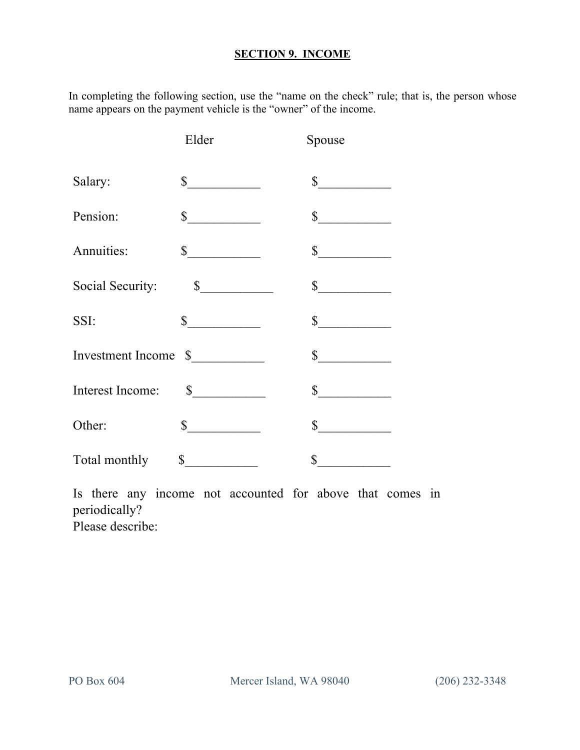#### **SECTION 9. INCOME**

In completing the following section, use the "name on the check" rule; that is, the person whose name appears on the payment vehicle is the "owner" of the income.

|                      | Elder         | Spouse        |
|----------------------|---------------|---------------|
| Salary:              | $\frac{1}{2}$ | $\sim$        |
| Pension:             | $\sim$        | $\frac{1}{2}$ |
| Annuities:           | $\sim$        | $\frac{1}{2}$ |
| Social Security:     | $\sim$        | $\int$        |
| SSI:                 | $\sim$        | $\int$        |
| Investment Income \$ |               | $\sim$        |
|                      |               | $\int$        |
| Other:               | $\sim$        | $\sim$        |
| Total monthly        | \$            | \$            |

Is there any income not accounted for above that comes in periodically? Please describe: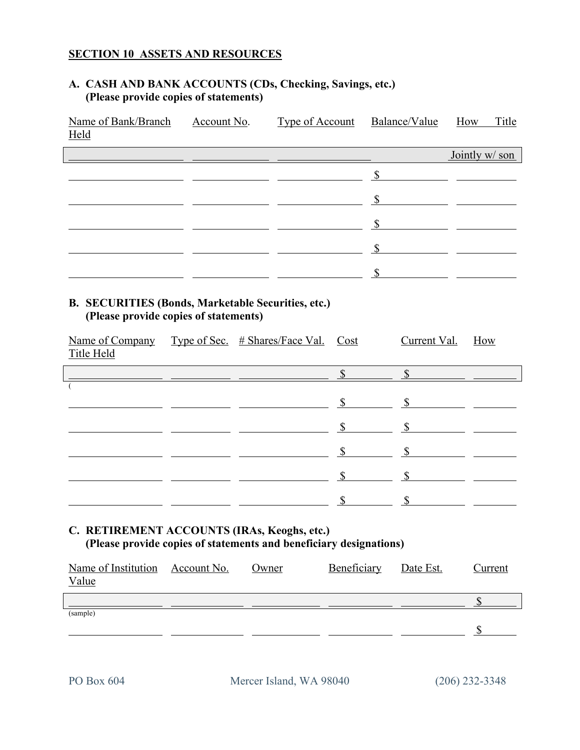### **SECTION 10 ASSETS AND RESOURCES**

#### **A. CASH AND BANK ACCOUNTS (CDs, Checking, Savings, etc.) (Please provide copies of statements)**

| Name of Bank/Branch<br><b>Held</b>                                                                                | Account No.<br>and the control of the control of the control of the control of the control of the control of the control of the | <b>Type of Account</b>                                                                                                |             | Balance/Value                                                                                                                                                                                                                                                                                                                                                                                                                    | Title<br>How              |  |  |
|-------------------------------------------------------------------------------------------------------------------|---------------------------------------------------------------------------------------------------------------------------------|-----------------------------------------------------------------------------------------------------------------------|-------------|----------------------------------------------------------------------------------------------------------------------------------------------------------------------------------------------------------------------------------------------------------------------------------------------------------------------------------------------------------------------------------------------------------------------------------|---------------------------|--|--|
|                                                                                                                   |                                                                                                                                 | <u> 1989 - Johann Harry Barn, mars and de Branch and de Branch and de Branch and de Branch and de Branch and de B</u> |             |                                                                                                                                                                                                                                                                                                                                                                                                                                  | Jointly w/ son            |  |  |
|                                                                                                                   |                                                                                                                                 |                                                                                                                       |             |                                                                                                                                                                                                                                                                                                                                                                                                                                  |                           |  |  |
|                                                                                                                   |                                                                                                                                 |                                                                                                                       |             | $\frac{\text{S}}{\text{S}}$ $\frac{\text{S}}{\text{S}}$ $\frac{\text{S}}{\text{S}}$ $\frac{\text{S}}{\text{S}}$ $\frac{\text{S}}{\text{S}}$ $\frac{\text{S}}{\text{S}}$ $\frac{\text{S}}{\text{S}}$ $\frac{\text{S}}{\text{S}}$ $\frac{\text{S}}{\text{S}}$ $\frac{\text{S}}{\text{S}}$ $\frac{\text{S}}{\text{S}}$ $\frac{\text{S}}{\text{S}}$ $\frac{\text{S}}{\text{S}}$ $\frac{\text{S}}{\text{S}}$ $\frac{\text{S}}{\text{$ |                           |  |  |
|                                                                                                                   |                                                                                                                                 |                                                                                                                       |             |                                                                                                                                                                                                                                                                                                                                                                                                                                  |                           |  |  |
|                                                                                                                   |                                                                                                                                 |                                                                                                                       |             | $\sim$                                                                                                                                                                                                                                                                                                                                                                                                                           |                           |  |  |
|                                                                                                                   |                                                                                                                                 |                                                                                                                       |             | $\sim$                                                                                                                                                                                                                                                                                                                                                                                                                           |                           |  |  |
| <b>B. SECURITIES (Bonds, Marketable Securities, etc.)</b><br>(Please provide copies of statements)                |                                                                                                                                 |                                                                                                                       |             |                                                                                                                                                                                                                                                                                                                                                                                                                                  |                           |  |  |
| Name of Company<br>Title Held                                                                                     | Type of Sec. $#$ Shares/Face Val.                                                                                               |                                                                                                                       | Cost        | Current Val.                                                                                                                                                                                                                                                                                                                                                                                                                     | How                       |  |  |
|                                                                                                                   |                                                                                                                                 |                                                                                                                       |             |                                                                                                                                                                                                                                                                                                                                                                                                                                  | $\frac{\sqrt{2}}{2}$      |  |  |
|                                                                                                                   |                                                                                                                                 |                                                                                                                       |             |                                                                                                                                                                                                                                                                                                                                                                                                                                  |                           |  |  |
|                                                                                                                   |                                                                                                                                 |                                                                                                                       |             |                                                                                                                                                                                                                                                                                                                                                                                                                                  |                           |  |  |
|                                                                                                                   |                                                                                                                                 |                                                                                                                       |             | $\frac{\text{S}}{\text{S}}$ and $\frac{\text{S}}{\text{S}}$ and $\frac{\text{S}}{\text{S}}$ and $\frac{\text{S}}{\text{S}}$ and $\frac{\text{S}}{\text{S}}$ and $\frac{\text{S}}{\text{S}}$ and $\frac{\text{S}}{\text{S}}$ and $\frac{\text{S}}{\text{S}}$ and $\frac{\text{S}}{\text{S}}$ and $\frac{\text{S}}{\text{S}}$ and $\frac{\text{S}}{\text{S}}$ and $\frac{\text{S}}{\text{S$                                        |                           |  |  |
|                                                                                                                   |                                                                                                                                 |                                                                                                                       |             |                                                                                                                                                                                                                                                                                                                                                                                                                                  |                           |  |  |
|                                                                                                                   |                                                                                                                                 |                                                                                                                       |             | $\frac{\text{S}}{\text{S}}$ $\frac{\text{S}}{\text{S}}$ $\frac{\text{S}}{\text{S}}$ $\frac{\text{S}}{\text{S}}$ $\frac{\text{S}}{\text{S}}$ $\frac{\text{S}}{\text{S}}$ $\frac{\text{S}}{\text{S}}$ $\frac{\text{S}}{\text{S}}$ $\frac{\text{S}}{\text{S}}$ $\frac{\text{S}}{\text{S}}$ $\frac{\text{S}}{\text{S}}$ $\frac{\text{S}}{\text{S}}$ $\frac{\text{S}}{\text{S}}$ $\frac{\text{S}}{\text{S}}$ $\frac{\text{S}}{\text{$ |                           |  |  |
| C. RETIREMENT ACCOUNTS (IRAs, Keoghs, etc.)<br>(Please provide copies of statements and beneficiary designations) |                                                                                                                                 |                                                                                                                       |             |                                                                                                                                                                                                                                                                                                                                                                                                                                  |                           |  |  |
| Name of Institution<br><b>Value</b>                                                                               | Account No.                                                                                                                     | Owner                                                                                                                 | Beneficiary | Date Est.                                                                                                                                                                                                                                                                                                                                                                                                                        | Current                   |  |  |
|                                                                                                                   |                                                                                                                                 |                                                                                                                       |             |                                                                                                                                                                                                                                                                                                                                                                                                                                  | $\boldsymbol{\mathsf{S}}$ |  |  |
| (sample)                                                                                                          |                                                                                                                                 |                                                                                                                       |             |                                                                                                                                                                                                                                                                                                                                                                                                                                  | $\mathcal{S}$             |  |  |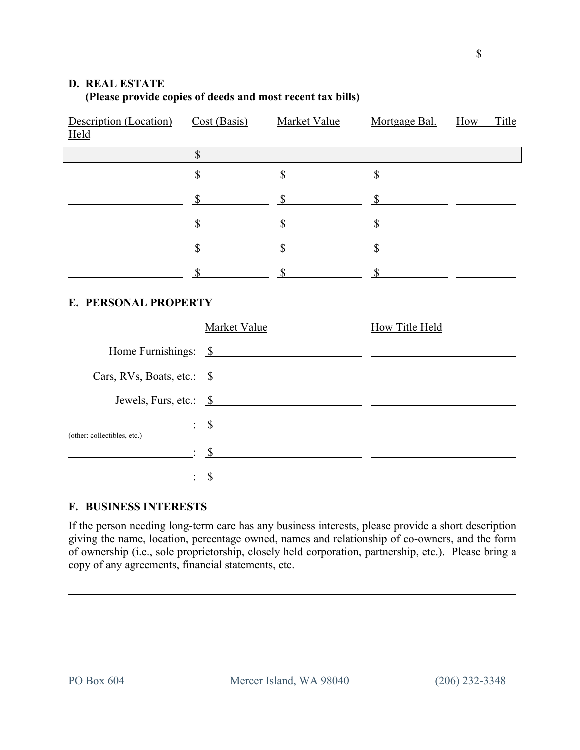#### **D. REAL ESTATE (Please provide copies of deeds and most recent tax bills)**

| Description (Location)<br><u>Held</u>                                                                                          | Cost (Basis) | <b>Market Value</b> | Mortgage Bal.<br><u> 1989 - Johann Stoff, deutscher Stoffen und der Stoffen und der Stoffen und der Stoffen und der Stoffen und der</u>                                                                                                                                                                                                                                                                                          | How | Title |
|--------------------------------------------------------------------------------------------------------------------------------|--------------|---------------------|----------------------------------------------------------------------------------------------------------------------------------------------------------------------------------------------------------------------------------------------------------------------------------------------------------------------------------------------------------------------------------------------------------------------------------|-----|-------|
|                                                                                                                                |              |                     |                                                                                                                                                                                                                                                                                                                                                                                                                                  |     |       |
|                                                                                                                                |              |                     | $\frac{s}{s}$ $\frac{s}{s}$ $\frac{s}{s}$ $\frac{s}{s}$ $\frac{s}{s}$ $\frac{s}{s}$ $\frac{s}{s}$ $\frac{s}{s}$ $\frac{s}{s}$ $\frac{s}{s}$ $\frac{s}{s}$ $\frac{s}{s}$ $\frac{s}{s}$ $\frac{s}{s}$ $\frac{s}{s}$ $\frac{s}{s}$ $\frac{s}{s}$ $\frac{s}{s}$ $\frac{s}{s}$ $\frac{s}{s}$ $\frac{s}{s}$ $\frac{s}{s}$ $\frac{s}{s}$ $\frac{s}{s}$ $\frac{s}{$                                                                      |     |       |
|                                                                                                                                | $\sim$       |                     | $\frac{\text{S}}{\text{S}}$ and $\frac{\text{S}}{\text{S}}$ and $\frac{\text{S}}{\text{S}}$ and $\frac{\text{S}}{\text{S}}$ and $\frac{\text{S}}{\text{S}}$ and $\frac{\text{S}}{\text{S}}$ and $\frac{\text{S}}{\text{S}}$ and $\frac{\text{S}}{\text{S}}$ and $\frac{\text{S}}{\text{S}}$ and $\frac{\text{S}}{\text{S}}$ and $\frac{\text{S}}{\text{S}}$ and $\frac{\text{S}}{\text{S$                                        |     |       |
|                                                                                                                                | $\sim$       |                     | $\frac{\sqrt{2}}{2}$ $\frac{\sqrt{2}}{2}$                                                                                                                                                                                                                                                                                                                                                                                        |     |       |
|                                                                                                                                |              |                     | $\frac{\text{S}}{\text{S}}$ $\frac{\text{S}}{\text{S}}$ $\frac{\text{S}}{\text{S}}$ $\frac{\text{S}}{\text{S}}$ $\frac{\text{S}}{\text{S}}$ $\frac{\text{S}}{\text{S}}$ $\frac{\text{S}}{\text{S}}$ $\frac{\text{S}}{\text{S}}$ $\frac{\text{S}}{\text{S}}$ $\frac{\text{S}}{\text{S}}$ $\frac{\text{S}}{\text{S}}$ $\frac{\text{S}}{\text{S}}$ $\frac{\text{S}}{\text{S}}$ $\frac{\text{S}}{\text{S}}$ $\frac{\text{S}}{\text{$ |     |       |
|                                                                                                                                |              |                     |                                                                                                                                                                                                                                                                                                                                                                                                                                  |     |       |
| <b>E. PERSONAL PROPERTY</b>                                                                                                    |              |                     |                                                                                                                                                                                                                                                                                                                                                                                                                                  |     |       |
|                                                                                                                                | Market Value |                     | <b>How Title Held</b>                                                                                                                                                                                                                                                                                                                                                                                                            |     |       |
|                                                                                                                                |              |                     | Home Furnishings: \$                                                                                                                                                                                                                                                                                                                                                                                                             |     |       |
|                                                                                                                                |              |                     | Cars, RVs, Boats, etc.: $\frac{\$}{\$}$                                                                                                                                                                                                                                                                                                                                                                                          |     |       |
|                                                                                                                                |              |                     | Jewels, Furs, etc.: $\frac{\$}{\$}$                                                                                                                                                                                                                                                                                                                                                                                              |     |       |
|                                                                                                                                |              |                     |                                                                                                                                                                                                                                                                                                                                                                                                                                  |     |       |
| (other: collectibles, etc.)                                                                                                    |              |                     |                                                                                                                                                                                                                                                                                                                                                                                                                                  |     |       |
| $\mathcal{S}$ . See the set of $\mathcal{S}$ . The set of $\mathcal{S}$ is the set of $\mathcal{S}$ . The set of $\mathcal{S}$ |              |                     |                                                                                                                                                                                                                                                                                                                                                                                                                                  |     |       |
|                                                                                                                                |              |                     |                                                                                                                                                                                                                                                                                                                                                                                                                                  |     |       |

#### **F. BUSINESS INTERESTS**

If the person needing long-term care has any business interests, please provide a short description giving the name, location, percentage owned, names and relationship of co-owners, and the form of ownership (i.e., sole proprietorship, closely held corporation, partnership, etc.). Please bring a copy of any agreements, financial statements, etc.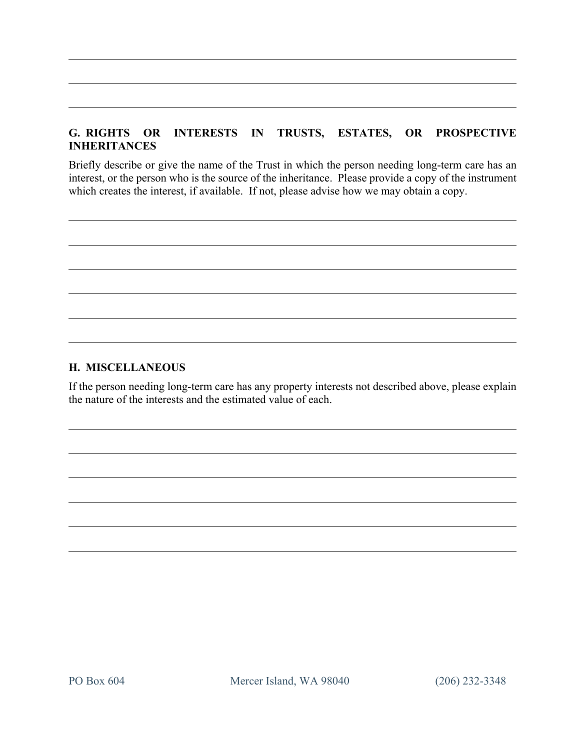# **G. RIGHTS OR INTERESTS IN TRUSTS, ESTATES, OR PROSPECTIVE INHERITANCES**

Briefly describe or give the name of the Trust in which the person needing long-term care has an interest, or the person who is the source of the inheritance. Please provide a copy of the instrument which creates the interest, if available. If not, please advise how we may obtain a copy.

#### **H. MISCELLANEOUS**

If the person needing long-term care has any property interests not described above, please explain the nature of the interests and the estimated value of each.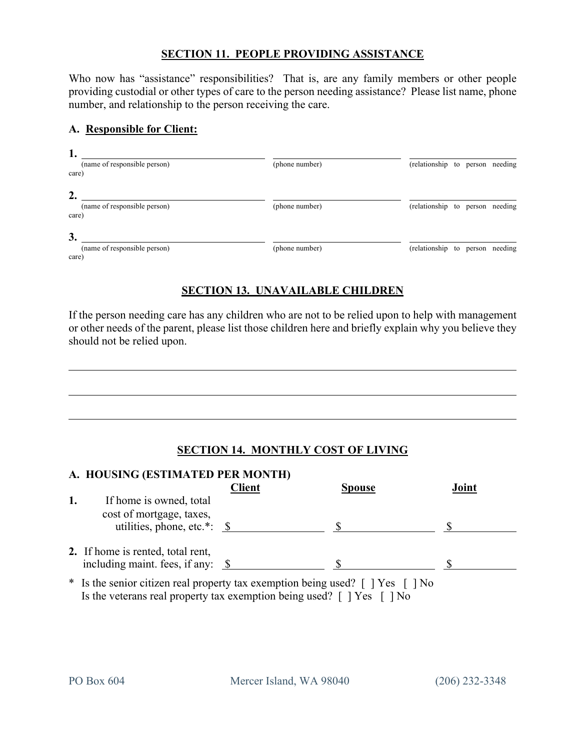#### **SECTION 11. PEOPLE PROVIDING ASSISTANCE**

Who now has "assistance" responsibilities? That is, are any family members or other people providing custodial or other types of care to the person needing assistance? Please list name, phone number, and relationship to the person receiving the care.

#### **A. Responsible for Client:**

| ı.<br>(name of responsible person)<br>care) | (phone number) | (relationship to person needing |  |  |
|---------------------------------------------|----------------|---------------------------------|--|--|
| 2.<br>(name of responsible person)<br>care) | (phone number) | (relationship to person needing |  |  |
| 3.<br>(name of responsible person)<br>care) | (phone number) | (relationship to person needing |  |  |

# **SECTION 13. UNAVAILABLE CHILDREN**

If the person needing care has any children who are not to be relied upon to help with management or other needs of the parent, please list those children here and briefly explain why you believe they should not be relied upon.

#### **SECTION 14. MONTHLY COST OF LIVING**

| A. HOUSING (ESTIMATED PER MONTH)                                        |               |                |       |
|-------------------------------------------------------------------------|---------------|----------------|-------|
|                                                                         | <b>Client</b> | <b>Spouse</b>  | Joint |
| If home is owned, total<br>cost of mortgage, taxes,                     |               |                |       |
| utilities, phone, etc.*: $\$                                            |               |                |       |
| 2. If home is rented, total rent,<br>including maint. fees, if any: $\$ |               |                |       |
| * Is the senior citizen real property tax exemption being used? [] Yes  |               | N <sub>0</sub> |       |

Is the veterans real property tax exemption being used?  $\lceil \cdot \rceil$  Yes  $\lceil \cdot \rceil$  No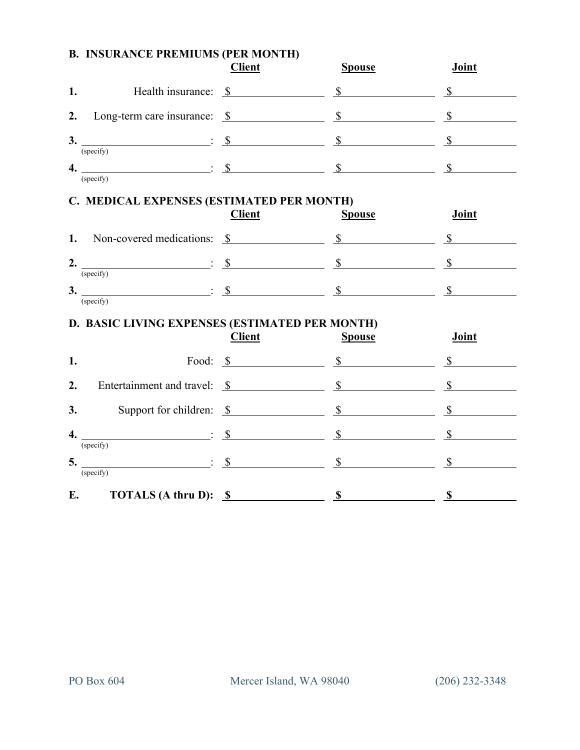# **Client Spouse Joint 1.** Health insurance: \$ \$ \$ **2.** Long-term care insurance: \$ \$ \$ **3.**  $\qquad \qquad : \quad \$ \qquad \qquad \$ \qquad \qquad \$ \qquad \qquad \$$ (specify) **4.**  $\frac{\ }{1}$  **\$** \$ \$ (specify)

#### **B. INSURANCE PREMIUMS (PER MONTH)**

# **C. MEDICAL EXPENSES (ESTIMATED PER MONTH)**

|                |                             | <b>Client</b> | <b>Spouse</b> | Joint |
|----------------|-----------------------------|---------------|---------------|-------|
| 1.             | Non-covered medications: \$ |               |               |       |
| 2.             |                             |               |               |       |
| 3 <sub>1</sub> | (specify)<br>(specify)      |               |               |       |

#### **D. BASIC LIVING EXPENSES (ESTIMATED PER MONTH)**

|    |                                                        | <b>Client</b>                         | <b>Spouse</b> | Joint |
|----|--------------------------------------------------------|---------------------------------------|---------------|-------|
| 1. |                                                        | Food: $\frac{\ }{S}$                  | $\mathbb{S}$  |       |
| 2. |                                                        |                                       |               |       |
| 3. |                                                        | Support for children: $\frac{\$}{\$}$ |               |       |
| 4. | (specify)                                              |                                       | $\mathbb{S}$  |       |
|    | $5.$ $\qquad \qquad \vdots \qquad \qquad$<br>(specify) |                                       |               |       |
| E. | <b>TOTALS</b> (A thru D): $\frac{\$}{\$}$              |                                       |               |       |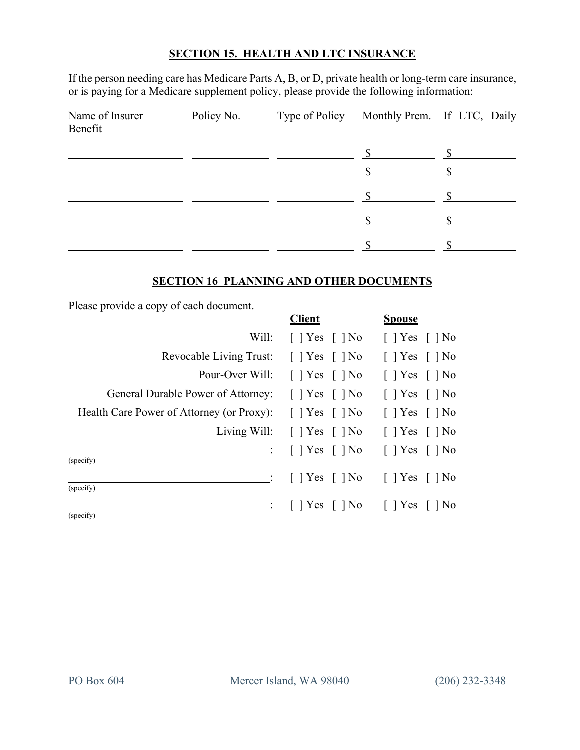#### **SECTION 15. HEALTH AND LTC INSURANCE**

If the person needing care has Medicare Parts A, B, or D, private health or long-term care insurance, or is paying for a Medicare supplement policy, please provide the following information:

| Name of Insurer<br>Benefit | Policy No. | Type of Policy Monthly Prem. If LTC, Daily |  |
|----------------------------|------------|--------------------------------------------|--|
|                            |            |                                            |  |
|                            |            |                                            |  |
|                            |            |                                            |  |
|                            |            |                                            |  |
|                            |            |                                            |  |

#### **SECTION 16 PLANNING AND OTHER DOCUMENTS**

Please provide a copy of each document.

|                                           | <b>Client</b>                                             | <b>Spouse</b>                |
|-------------------------------------------|-----------------------------------------------------------|------------------------------|
| Will:                                     | $\lceil$   Yes $\lceil$   No                              | $\lceil$   Yes $\lceil$   No |
| Revocable Living Trust:                   | $\lceil$   Yes $\lceil$   No                              | $\lceil$   Yes $\lceil$   No |
| Pour-Over Will: [ ] Yes [ ] No            |                                                           | $\lceil$   Yes $\lceil$   No |
| General Durable Power of Attorney:        | $\lceil$   Yes $\lceil$   No                              | $\lceil$   Yes $\lceil$   No |
| Health Care Power of Attorney (or Proxy): | $\lceil$   Yes $\lceil$   No                              | $\lceil$   Yes $\lceil$   No |
|                                           | Living Will: [ ] Yes [ ] No [ ] Yes [ ] No                |                              |
| (specify)                                 | $\lceil$   Yes $\lceil$   No $\lceil$   Yes $\lceil$   No |                              |
| (specify)                                 | $\therefore$ [ ] Yes [ ] No [ ] Yes [ ] No                |                              |
| (specify)                                 | $\therefore$ [ ] Yes [ ] No [ ] Yes [ ] No                |                              |